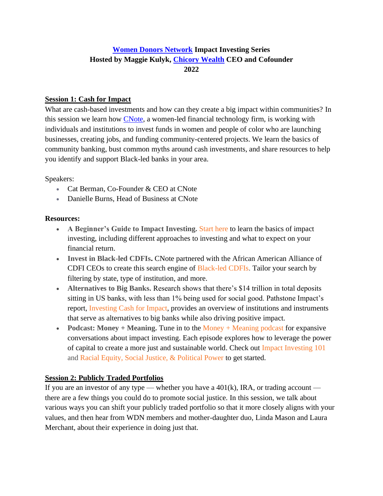# **[Women Donors Network](https://womendonors.org/) Impact Investing Series Hosted by Maggie Kulyk, [Chicory Wealth](http://www.chicorywealth.com/) CEO and Cofounder 2022**

#### **Session 1: Cash for Impact**

What are cash-based investments and how can they create a big impact within communities? In this session we learn how [CNote,](https://www.mycnote.com/) a women-led financial technology firm, is working with individuals and institutions to invest funds in women and people of color who are launching businesses, creating jobs, and funding community-centered projects. We learn the basics of community banking, bust common myths around cash investments, and share resources to help you identify and support Black-led banks in your area.

Speakers:

- Cat Berman, Co-Founder & CEO at CNote
- Danielle Burns, Head of Business at CNote

#### **Resources:**

- **A Beginner's Guide to Impact Investing.** [Start here](https://www.mycnote.com/blog/what-is-impact-investing/) to learn the basics of impact investing, including different approaches to investing and what to expect on your financial return.
- **Invest in Black-led CDFIs.** CNote partnered with the African American Alliance of CDFI CEOs to create this search engine of [Black-led CDFIs.](https://www.mycnote.com/black-led-community-finance-orgs/) Tailor your search by filtering by state, type of institution, and more.
- **Alternatives to Big Banks.** Research shows that there's \$14 trillion in total deposits sitting in US banks, with less than 1% being used for social good. Pathstone Impact's report, [Investing Cash for Impact,](https://www.pathstone.com/investing-cash-for-impact-a-guide-for-asset-owners/) provides an overview of institutions and instruments that serve as alternatives to big banks while also driving positive impact.
- **Podcast: Money + Meaning.** Tune in to the [Money + Meaning podcast](https://socapglobal.com/money-meaning-podcast/) for expansive conversations about impact investing. Each episode explores how to leverage the power of capital to create a more just and sustainable world. Check out [Impact Investing 101](https://socapglobal.com/2020/06/impact-investing-101-with-rehana-nathoo-episode-50-of-money-meaning/) and [Racial Equity, Social Justice, & Political Power](https://socapglobal.com/2019/11/racial-equity-social-justice-and-political-power-2/) to get started.

### **Session 2: Publicly Traded Portfolios**

If you are an investor of any type — whether you have a  $401(k)$ , IRA, or trading account there are a few things you could do to promote social justice. In this session, we talk about various ways you can shift your publicly traded portfolio so that it more closely aligns with your values, and then hear from WDN members and mother-daughter duo, Linda Mason and Laura Merchant, about their experience in doing just that.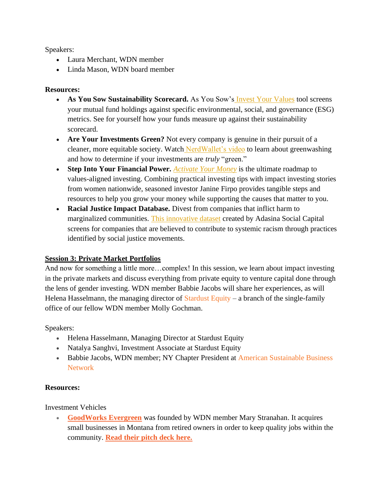Speakers:

- Laura Merchant, WDN member
- Linda Mason, WDN board member

### **Resources:**

- As You Sow Sustainability Scorecard. As You Sow's **[Invest Your Values](https://www.asyousow.org/invest-your-values)** tool screens your mutual fund holdings against specific environmental, social, and governance (ESG) metrics. See for yourself how your funds measure up against their sustainability scorecard.
- **Are Your Investments Green?** Not every company is genuine in their pursuit of a cleaner, more equitable society. Watch [NerdWallet's video](https://www.youtube.com/watch?v=ttXkoUr3-lY) to learn about greenwashing and how to determine if your investments are *truly* "green."
- **Step Into Your Financial Power.** *[Activate Your Money](https://activateyourmoney.net/)* is the ultimate roadmap to values-aligned investing. Combining practical investing tips with impact investing stories from women nationwide, seasoned investor Janine Firpo provides tangible steps and resources to help you grow your money while supporting the causes that matter to you.
- **Racial Justice Impact Database.** Divest from companies that inflict harm to marginalized communities. [This innovative dataset](https://adasina.com/racial-justice-impact-dataset/) created by Adasina Social Capital screens for companies that are believed to contribute to systemic racism through practices identified by social justice movements.

# **Session 3: Private Market Portfolios**

And now for something a little more…complex! In this session, we learn about impact investing in the private markets and discuss everything from private equity to venture capital done through the lens of gender investing. WDN member Babbie Jacobs will share her experiences, as will Helena Hasselmann, the managing director of [Stardust Equity](https://weareallstardust.com/equity/) – a branch of the single-family office of our fellow WDN member Molly Gochman.

Speakers:

- Helena Hasselmann, Managing Director at Stardust Equity
- Natalya Sanghvi, Investment Associate at Stardust Equity
- Babbie Jacobs, WDN member; NY Chapter President at [American Sustainable Business](https://www.asbnetwork.org/)  [Network](https://www.asbnetwork.org/)

# **Resources:**

Investment Vehicles

• **[GoodWorks Evergreen](https://gwevergreen.com/)** was founded by WDN member Mary Stranahan. It acquires small businesses in Montana from retired owners in order to keep quality jobs within the community. **[Read their pitch deck here.](https://mcusercontent.com/aeee0b9e7adf51260c97b59b2/files/79d6a19a-6a95-aee0-ec8a-29266002e7c3/GOODWORKS_EVERGREEN_LLC_INVESTOR_PRESENTATION_08_03_2021.pdf)**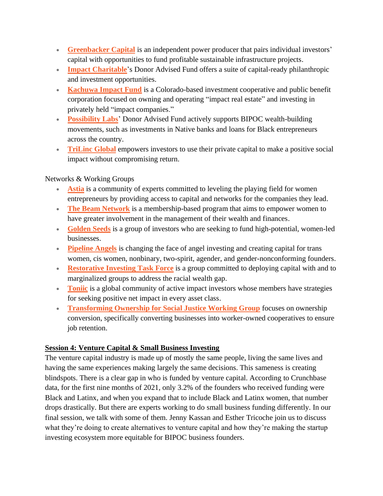- **[Greenbacker Capital](https://greenbackercapital.com/)** is an independent power producer that pairs individual investors' capital with opportunities to fund profitable sustainable infrastructure projects.
- **[Impact Charitable](https://impactcharitable.org/)**'s Donor Advised Fund offers a suite of capital-ready philanthropic and investment opportunities.
- **[Kachuwa Impact Fund](https://www.kachuwaimpactfund.com/about)** is a Colorado-based investment cooperative and public benefit corporation focused on owning and operating "impact real estate" and investing in privately held "impact companies."
- **[Possibility Labs](https://www.possibilitylabs.org/)**' Donor Advised Fund actively supports BIPOC wealth-building movements, such as investments in Native banks and loans for Black entrepreneurs across the country.
- **[TriLinc Global](https://www.trilincglobal.com/)** empowers investors to use their private capital to make a positive social impact without compromising return.

### Networks & Working Groups

- **[Astia](https://www.astia.org/)** is a community of experts committed to leveling the playing field for women entrepreneurs by providing access to capital and networks for the companies they lead.
- **[The Beam Network](https://www.thebeamnetwork.com/)** is a membership-based program that aims to empower women to have greater involvement in the management of their wealth and finances.
- **[Golden Seeds](https://goldenseeds.com/)** is a group of investors who are seeking to fund high-potential, women-led businesses.
- **[Pipeline Angels](https://pipelineangels.com/)** is changing the face of angel investing and creating capital for trans women, cis women, nonbinary, two-spirit, agender, and gender-nonconforming founders.
- **[Restorative Investing Task Force](https://www.asbnetwork.org/restorative-investing-task-force)** is a group committed to deploying capital with and to marginalized groups to address the racial wealth gap.
- **[Toniic](https://toniic.com/)** is a global community of active impact investors whose members have strategies for seeking positive net impact in every asset class.
- **[Transforming Ownership for Social Justice Working Group](https://www.asbnetwork.org/transforming-ownership-social-justice)** focuses on ownership conversion, specifically converting businesses into worker-owned cooperatives to ensure job retention.

# **Session 4: Venture Capital & Small Business Investing**

The venture capital industry is made up of mostly the same people, living the same lives and having the same experiences making largely the same decisions. This sameness is creating blindspots. There is a clear gap in who is funded by venture capital. According to Crunchbase data, for the first nine months of 2021, only 3.2% of the founders who received funding were Black and Latinx, and when you expand that to include Black and Latinx women, that number drops drastically. But there are experts working to do small business funding differently. In our final session, we talk with some of them. Jenny Kassan and Esther Tricoche join us to discuss what they're doing to create alternatives to venture capital and how they're making the startup investing ecosystem more equitable for BIPOC business founders.